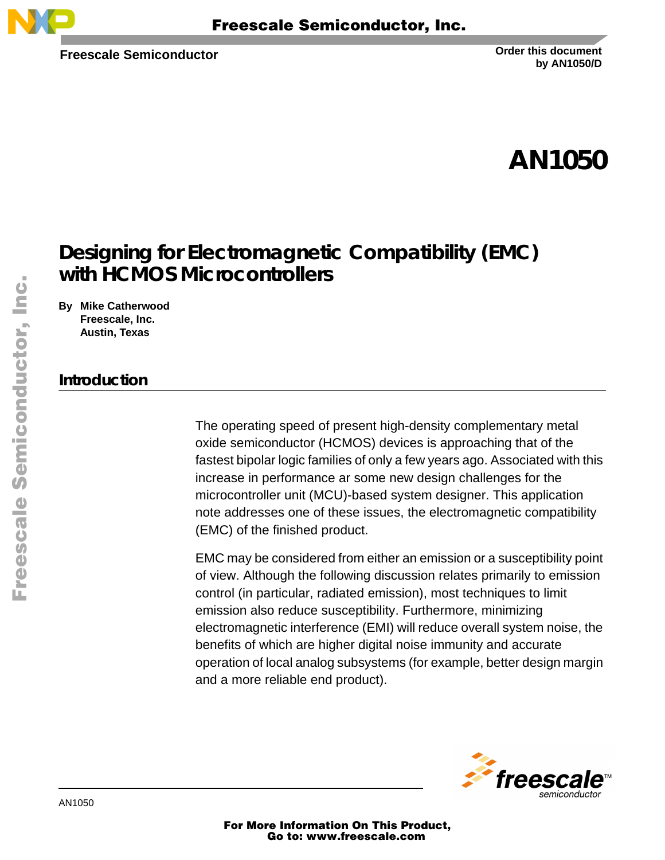

**Freescale Semiconductor**

**Order this document by AN1050/D**

# **AN1050**

# **Designing for Electromagnetic Compatibility (EMC) with HCMOS Microcontrollers**

**By Mike Catherwood Freescale, Inc. Austin, Texas**

## **Introduction**

The operating speed of present high-density complementary metal oxide semiconductor (HCMOS) devices is approaching that of the fastest bipolar logic families of only a few years ago. Associated with this increase in performance ar some new design challenges for the microcontroller unit (MCU)-based system designer. This application note addresses one of these issues, the electromagnetic compatibility (EMC) of the finished product.

EMC may be considered from either an emission or a susceptibility point of view. Although the following discussion relates primarily to emission control (in particular, radiated emission), most techniques to limit emission also reduce susceptibility. Furthermore, minimizing electromagnetic interference (EMI) will reduce overall system noise, the benefits of which are higher digital noise immunity and accurate operation of local analog subsystems (for example, better design margin and a more reliable end product).



For More Information On This Product, Go to: www.freescale.com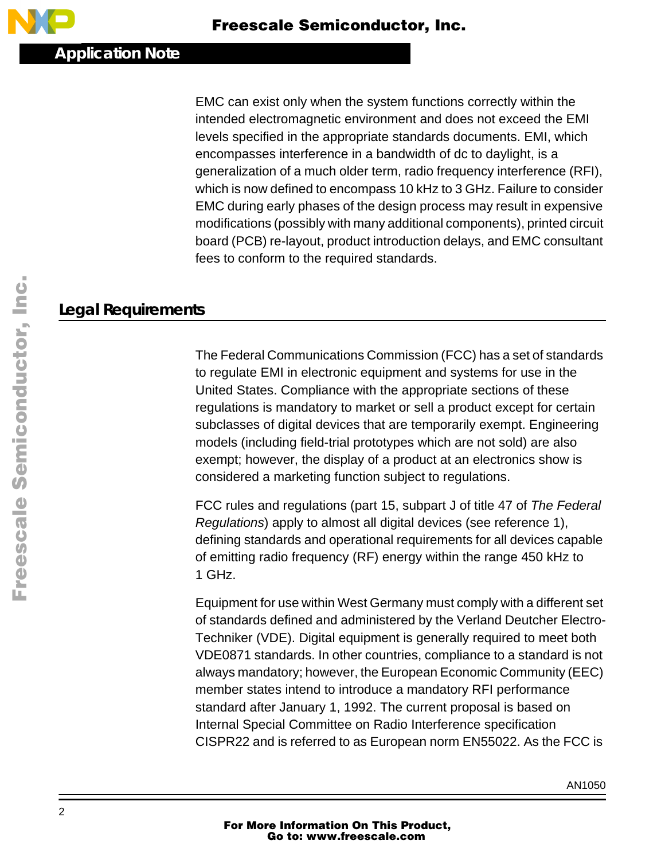EMC can exist only when the system functions correctly within the intended electromagnetic environment and does not exceed the EMI levels specified in the appropriate standards documents. EMI, which encompasses interference in a bandwidth of dc to daylight, is a generalization of a much older term, radio frequency interference (RFI), which is now defined to encompass 10 kHz to 3 GHz. Failure to consider EMC during early phases of the design process may result in expensive modifications (possibly with many additional components), printed circuit board (PCB) re-layout, product introduction delays, and EMC consultant fees to conform to the required standards.

## **Legal Requirements**

The Federal Communications Commission (FCC) has a set of standards to regulate EMI in electronic equipment and systems for use in the United States. Compliance with the appropriate sections of these regulations is mandatory to market or sell a product except for certain subclasses of digital devices that are temporarily exempt. Engineering models (including field-trial prototypes which are not sold) are also exempt; however, the display of a product at an electronics show is considered a marketing function subject to regulations.

FCC rules and regulations (part 15, subpart J of title 47 of The Federal Regulations) apply to almost all digital devices (see reference 1), defining standards and operational requirements for all devices capable of emitting radio frequency (RF) energy within the range 450 kHz to 1 GHz.

Equipment for use within West Germany must comply with a different set of standards defined and administered by the Verland Deutcher Electro-Techniker (VDE). Digital equipment is generally required to meet both VDE0871 standards. In other countries, compliance to a standard is not always mandatory; however, the European Economic Community (EEC) member states intend to introduce a mandatory RFI performance standard after January 1, 1992. The current proposal is based on Internal Special Committee on Radio Interference specification CISPR22 and is referred to as European norm EN55022. As the FCC is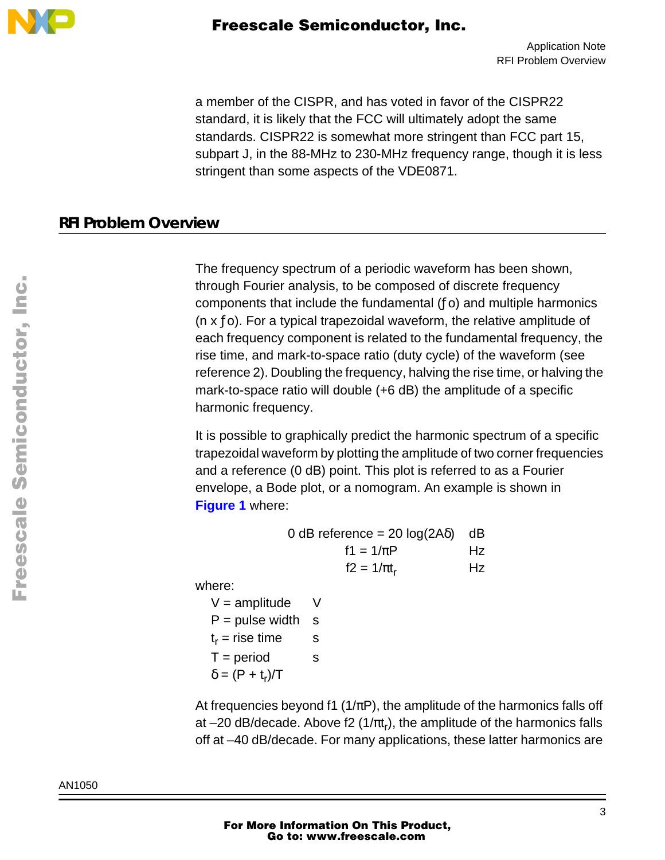

a member of the CISPR, and has voted in favor of the CISPR22 standard, it is likely that the FCC will ultimately adopt the same standards. CISPR22 is somewhat more stringent than FCC part 15, subpart J, in the 88-MHz to 230-MHz frequency range, though it is less stringent than some aspects of the VDE0871.

#### **RFI Problem Overview**

The frequency spectrum of a periodic waveform has been shown, through Fourier analysis, to be composed of discrete frequency components that include the fundamental (ƒo) and multiple harmonics (n  $x f$ o). For a typical trapezoidal waveform, the relative amplitude of each frequency component is related to the fundamental frequency, the rise time, and mark-to-space ratio (duty cycle) of the waveform (see reference 2). Doubling the frequency, halving the rise time, or halving the mark-to-space ratio will double (+6 dB) the amplitude of a specific harmonic frequency.

It is possible to graphically predict the harmonic spectrum of a specific trapezoidal waveform by plotting the amplitude of two corner frequencies and a reference (0 dB) point. This plot is referred to as a Fourier envelope, a Bode plot, or a nomogram. An example is shown in **[Figure 1](#page-3-0)** where:

| 0 dB reference = $20 log(2A\delta)$ dB |    |
|----------------------------------------|----|
| $f1 = 1/\pi P$                         | Hz |
| $f2 = 1/\pi t_r$                       | Hz |

where:

 $V =$  amplitude  $V$  $P = pulse width$  s  $t_r$  = rise time s  $T = period$  s  $\delta = (P + t_r)/T$ 

At frequencies beyond f1 ( $1/\pi$ P), the amplitude of the harmonics falls off at  $-20$  dB/decade. Above f2 (1/ $\pi t_r$ ), the amplitude of the harmonics falls off at –40 dB/decade. For many applications, these latter harmonics are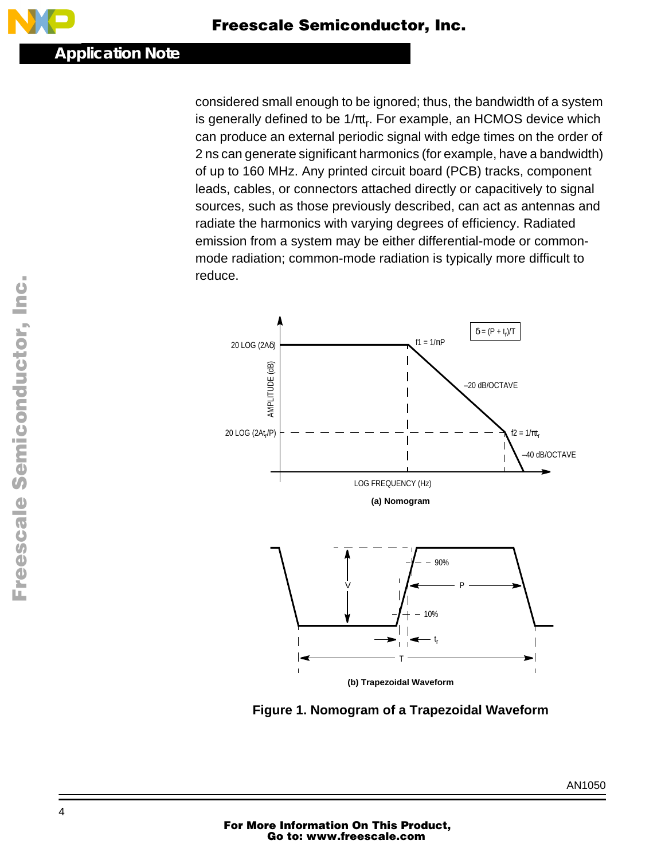<span id="page-3-0"></span>considered small enough to be ignored; thus, the bandwidth of a system is generally defined to be  $1/\pi t_r$ . For example, an HCMOS device which can produce an external periodic signal with edge times on the order of 2 ns can generate significant harmonics (for example, have a bandwidth) of up to 160 MHz. Any printed circuit board (PCB) tracks, component leads, cables, or connectors attached directly or capacitively to signal sources, such as those previously described, can act as antennas and radiate the harmonics with varying degrees of efficiency. Radiated emission from a system may be either differential-mode or commonmode radiation; common-mode radiation is typically more difficult to reduce.



**Figure 1. Nomogram of a Trapezoidal Waveform**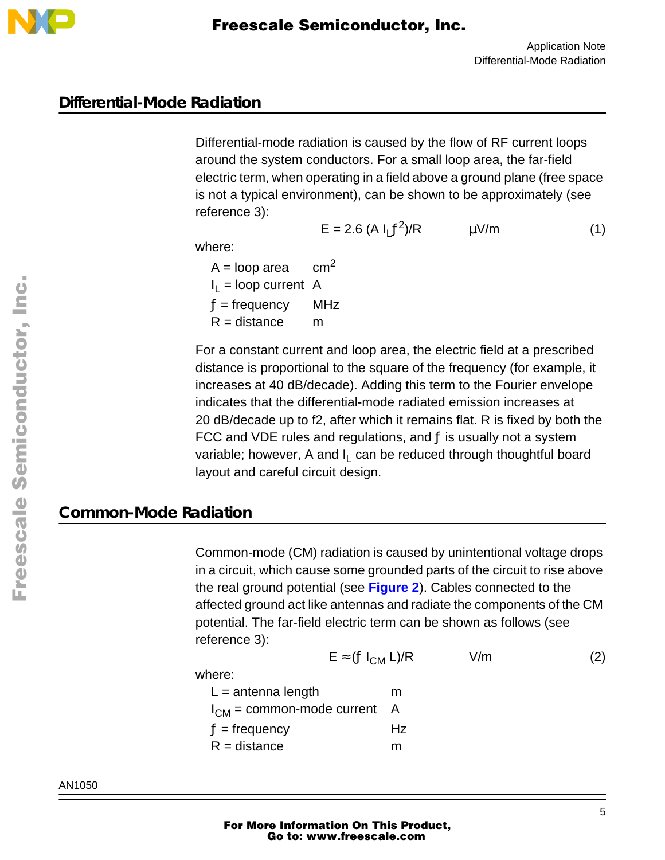

#### **Differential-Mode Radiation**

Differential-mode radiation is caused by the flow of RF current loops around the system conductors. For a small loop area, the far-field electric term, when operating in a field above a ground plane (free space is not a typical environment), can be shown to be approximately (see reference 3):

$$
E = 2.6 (A I_L f^2)/R
$$
  $\mu V/m$  (1)

where:

where:

 $A = loop \ area \ cm^2$  $I_1$  = loop current A  $f =$  frequency MHz  $R =$  distance m

For a constant current and loop area, the electric field at a prescribed distance is proportional to the square of the frequency (for example, it increases at 40 dB/decade). Adding this term to the Fourier envelope indicates that the differential-mode radiated emission increases at 20 dB/decade up to f2, after which it remains flat. R is fixed by both the FCC and VDE rules and regulations, and  $f$  is usually not a system variable; however, A and  $I_L$  can be reduced through thoughtful board layout and careful circuit design.

## **Common-Mode Radiation**

Common-mode (CM) radiation is caused by unintentional voltage drops in a circuit, which cause some grounded parts of the circuit to rise above the real ground potential (see **[Figure 2](#page-5-0)**). Cables connected to the affected ground act like antennas and radiate the components of the CM potential. The far-field electric term can be shown as follows (see reference 3):

Here:  
\n
$$
E \approx (f I_{CM} L)/R
$$
 V/m (2)  
\n
$$
L = \text{antenna length}
$$
 m  
\n
$$
I_{CM} = \text{common-mode current } A
$$

 $I_{CM} = comm$  $f =$  frequency  $Hz$  $R =$  distance m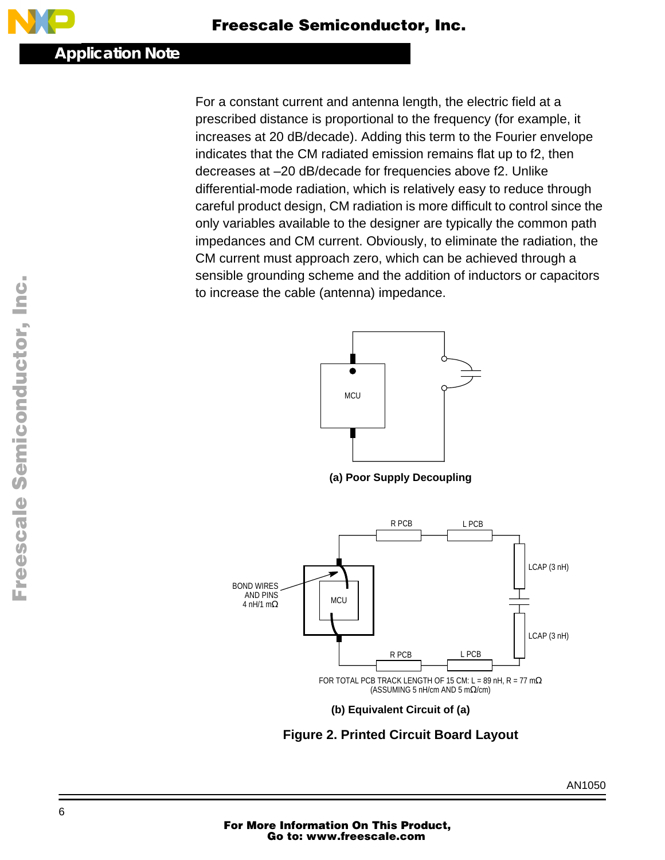<span id="page-5-0"></span>For a constant current and antenna length, the electric field at a prescribed distance is proportional to the frequency (for example, it increases at 20 dB/decade). Adding this term to the Fourier envelope indicates that the CM radiated emission remains flat up to f2, then decreases at –20 dB/decade for frequencies above f2. Unlike differential-mode radiation, which is relatively easy to reduce through careful product design, CM radiation is more difficult to control since the only variables available to the designer are typically the common path impedances and CM current. Obviously, to eliminate the radiation, the CM current must approach zero, which can be achieved through a sensible grounding scheme and the addition of inductors or capacitors to increase the cable (antenna) impedance.



**(a) Poor Supply Decoupling**



**Figure 2. Printed Circuit Board Layout**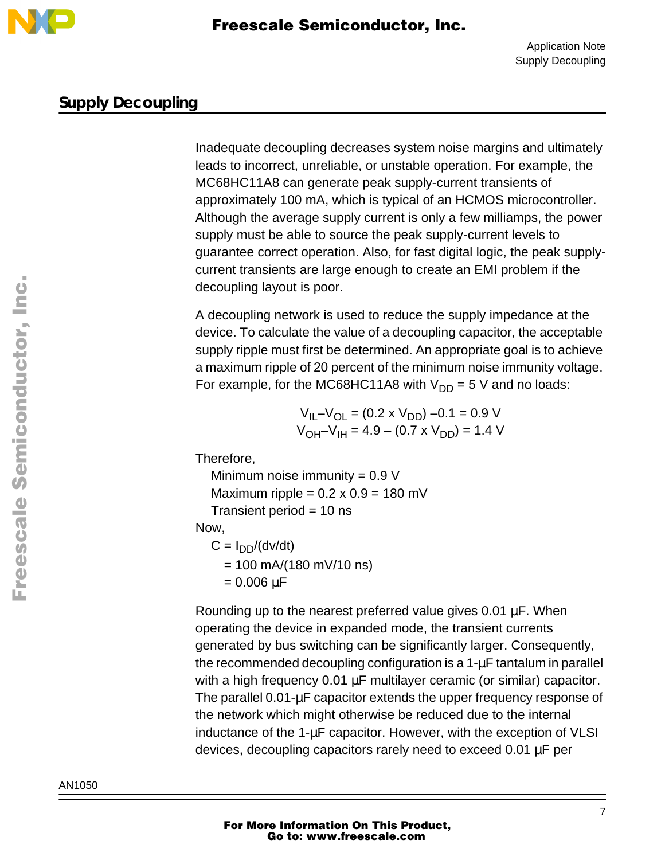

### **Supply Decoupling**

Inadequate decoupling decreases system noise margins and ultimately leads to incorrect, unreliable, or unstable operation. For example, the MC68HC11A8 can generate peak supply-current transients of approximately 100 mA, which is typical of an HCMOS microcontroller. Although the average supply current is only a few milliamps, the power supply must be able to source the peak supply-current levels to guarantee correct operation. Also, for fast digital logic, the peak supplycurrent transients are large enough to create an EMI problem if the decoupling layout is poor.

A decoupling network is used to reduce the supply impedance at the device. To calculate the value of a decoupling capacitor, the acceptable supply ripple must first be determined. An appropriate goal is to achieve a maximum ripple of 20 percent of the minimum noise immunity voltage. For example, for the MC68HC11A8 with  $V_{DD} = 5$  V and no loads:

> $V_{II} - V_{OI} = (0.2 \times V_{DD}) - 0.1 = 0.9 V$  $V_{OH}$ – $V_{IH}$  = 4.9 – (0.7 x  $V_{DD}$ ) = 1.4 V

Therefore,

Minimum noise immunity  $= 0.9 V$ Maximum ripple =  $0.2 \times 0.9 = 180$  mV Transient period = 10 ns

Now,

 $C = I_{DD}/(dv/dt)$  $= 100$  mA/(180 mV/10 ns)  $= 0.006 \mu F$ 

Rounding up to the nearest preferred value gives 0.01 µF. When operating the device in expanded mode, the transient currents generated by bus switching can be significantly larger. Consequently, the recommended decoupling configuration is a  $1-\mu$ F tantalum in parallel with a high frequency 0.01 µF multilayer ceramic (or similar) capacitor. The parallel 0.01-µF capacitor extends the upper frequency response of the network which might otherwise be reduced due to the internal inductance of the 1-µF capacitor. However, with the exception of VLSI devices, decoupling capacitors rarely need to exceed 0.01 µF per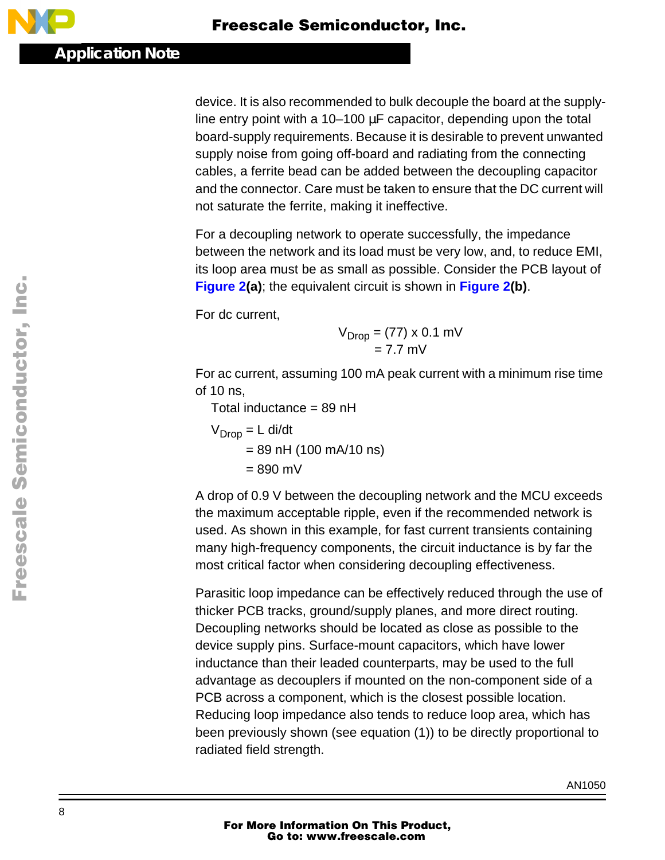device. It is also recommended to bulk decouple the board at the supplyline entry point with a 10–100 µF capacitor, depending upon the total board-supply requirements. Because it is desirable to prevent unwanted supply noise from going off-board and radiating from the connecting cables, a ferrite bead can be added between the decoupling capacitor and the connector. Care must be taken to ensure that the DC current will not saturate the ferrite, making it ineffective.

For a decoupling network to operate successfully, the impedance between the network and its load must be very low, and, to reduce EMI, its loop area must be as small as possible. Consider the PCB layout of **[Figure 2](#page-5-0)(a)**; the equivalent circuit is shown in **F[igure 2\(b](#page-5-0))**.

For dc current,

$$
V_{Drop} = (77) \times 0.1 \text{ mV}
$$
  
= 7.7 mV

For ac current, assuming 100 mA peak current with a minimum rise time of 10 ns,

Total inductance = 89 nH

 $V<sub>Dron</sub> = L$  di/dt  $= 89$  nH (100 mA/10 ns)  $= 890$  mV

A drop of 0.9 V between the decoupling network and the MCU exceeds the maximum acceptable ripple, even if the recommended network is used. As shown in this example, for fast current transients containing many high-frequency components, the circuit inductance is by far the most critical factor when considering decoupling effectiveness.

Parasitic loop impedance can be effectively reduced through the use of thicker PCB tracks, ground/supply planes, and more direct routing. Decoupling networks should be located as close as possible to the device supply pins. Surface-mount capacitors, which have lower inductance than their leaded counterparts, may be used to the full advantage as decouplers if mounted on the non-component side of a PCB across a component, which is the closest possible location. Reducing loop impedance also tends to reduce loop area, which has been previously shown (see equation (1)) to be directly proportional to radiated field strength.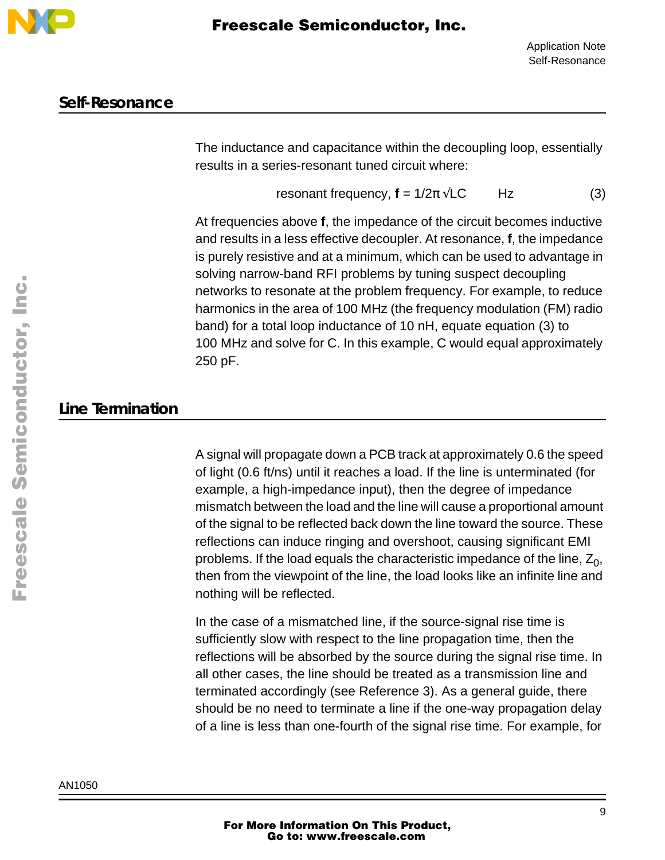

#### **Self-Resonance**

The inductance and capacitance within the decoupling loop, essentially results in a series-resonant tuned circuit where:

resonant frequency,  $f = 1/2\pi \sqrt{LC}$  Hz (3)

At frequencies above **f**, the impedance of the circuit becomes inductive and results in a less effective decoupler. At resonance, **f**, the impedance is purely resistive and at a minimum, which can be used to advantage in solving narrow-band RFI problems by tuning suspect decoupling networks to resonate at the problem frequency. For example, to reduce harmonics in the area of 100 MHz (the frequency modulation (FM) radio band) for a total loop inductance of 10 nH, equate equation (3) to 100 MHz and solve for C. In this example, C would equal approximately 250 pF.

## **Line Termination**

A signal will propagate down a PCB track at approximately 0.6 the speed of light (0.6 ft/ns) until it reaches a load. If the line is unterminated (for example, a high-impedance input), then the degree of impedance mismatch between the load and the line will cause a proportional amount of the signal to be reflected back down the line toward the source. These reflections can induce ringing and overshoot, causing significant EMI problems. If the load equals the characteristic impedance of the line,  $Z_0$ , then from the viewpoint of the line, the load looks like an infinite line and nothing will be reflected.

In the case of a mismatched line, if the source-signal rise time is sufficiently slow with respect to the line propagation time, then the reflections will be absorbed by the source during the signal rise time. In all other cases, the line should be treated as a transmission line and terminated accordingly (see Reference 3). As a general guide, there should be no need to terminate a line if the one-way propagation delay of a line is less than one-fourth of the signal rise time. For example, for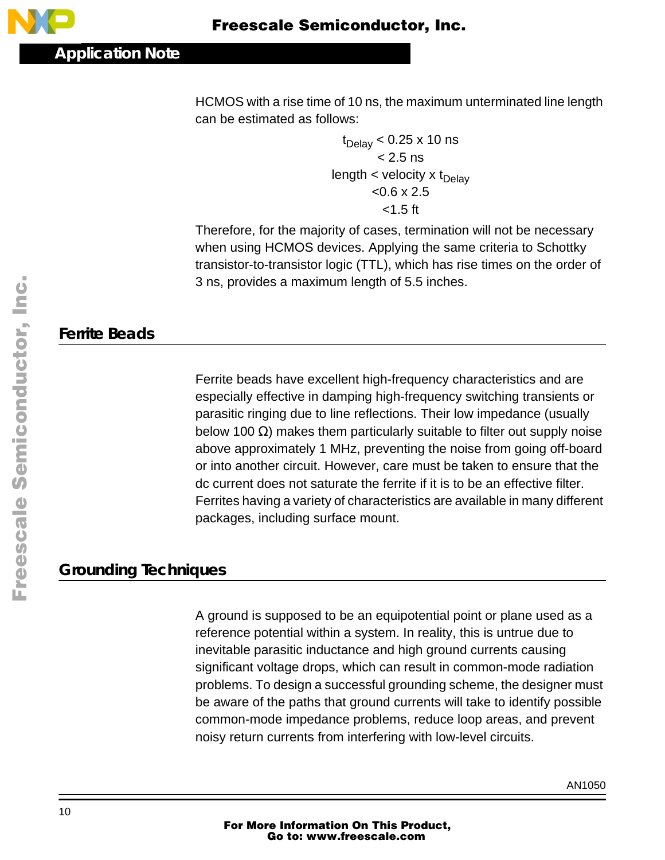

HCMOS with a rise time of 10 ns, the maximum unterminated line length can be estimated as follows:

> $t_{\text{Delay}}$  < 0.25 x 10 ns  $< 2.5$  ns length  $<$  velocity  $x$  t<sub>Delav</sub>  $< 0.6 \times 2.5$ <1.5 ft

Therefore, for the majority of cases, termination will not be necessary when using HCMOS devices. Applying the same criteria to Schottky transistor-to-transistor logic (TTL), which has rise times on the order of 3 ns, provides a maximum length of 5.5 inches.

## **Ferrite Beads**

Ferrite beads have excellent high-frequency characteristics and are especially effective in damping high-frequency switching transients or parasitic ringing due to line reflections. Their low impedance (usually below 100  $Ω$ ) makes them particularly suitable to filter out supply noise above approximately 1 MHz, preventing the noise from going off-board or into another circuit. However, care must be taken to ensure that the dc current does not saturate the ferrite if it is to be an effective filter. Ferrites having a variety of characteristics are available in many different packages, including surface mount.

## **Grounding Techniques**

A ground is supposed to be an equipotential point or plane used as a reference potential within a system. In reality, this is untrue due to inevitable parasitic inductance and high ground currents causing significant voltage drops, which can result in common-mode radiation problems. To design a successful grounding scheme, the designer must be aware of the paths that ground currents will take to identify possible common-mode impedance problems, reduce loop areas, and prevent noisy return currents from interfering with low-level circuits.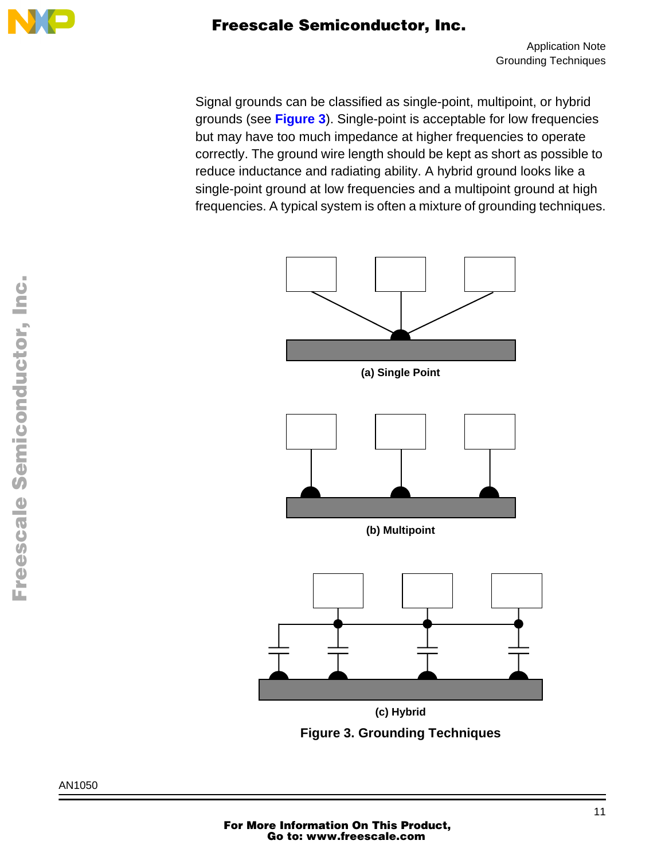

Application Note Grounding Techniques

Signal grounds can be classified as single-point, multipoint, or hybrid grounds (see **Figure 3**). Single-point is acceptable for low frequencies but may have too much impedance at higher frequencies to operate correctly. The ground wire length should be kept as short as possible to reduce inductance and radiating ability. A hybrid ground looks like a single-point ground at low frequencies and a multipoint ground at high frequencies. A typical system is often a mixture of grounding techniques.



**Figure 3. Grounding Techniques**

AN1050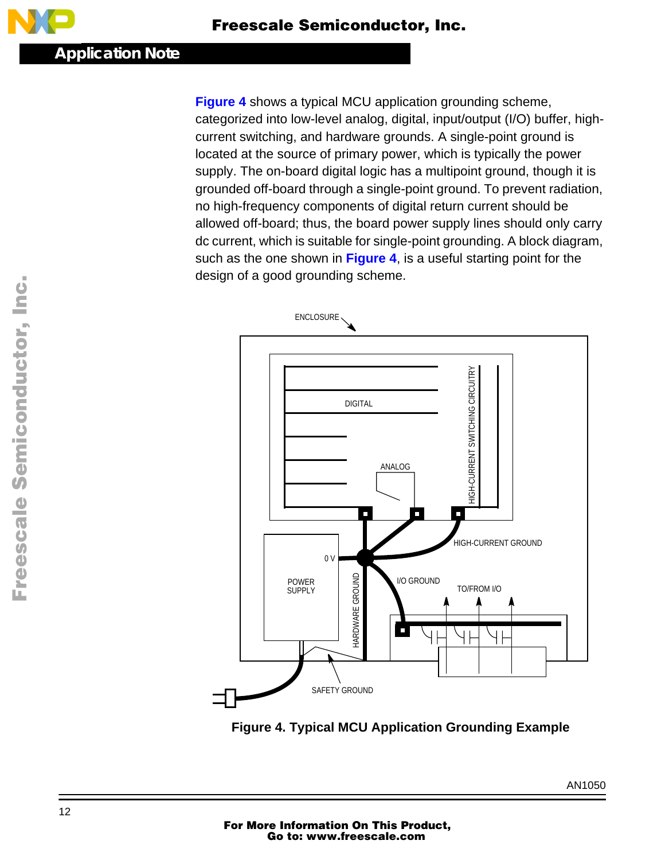<span id="page-11-0"></span>**Figure 4** shows a typical MCU application grounding scheme, categorized into low-level analog, digital, input/output (I/O) buffer, highcurrent switching, and hardware grounds. A single-point ground is located at the source of primary power, which is typically the power supply. The on-board digital logic has a multipoint ground, though it is grounded off-board through a single-point ground. To prevent radiation, no high-frequency components of digital return current should be allowed off-board; thus, the board power supply lines should only carry dc current, which is suitable for single-point grounding. A block diagram, such as the one shown in **Figure 4**, is a useful starting point for the design of a good grounding scheme.



**Figure 4. Typical MCU Application Grounding Example**

AN1050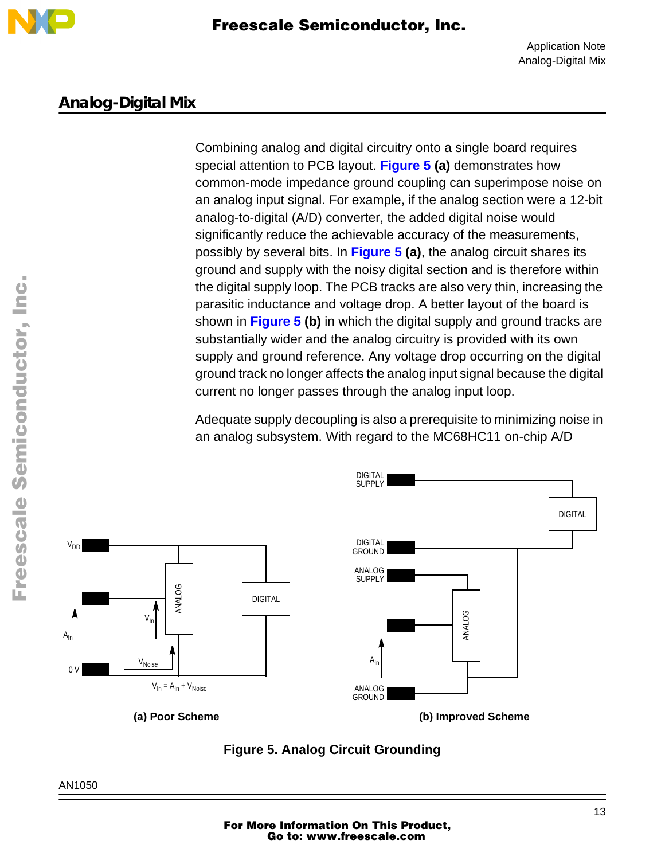

#### **Analog-Digital Mix**

Combining analog and digital circuitry onto a single board requires special attention to PCB layout. **Figure 5 (a)** demonstrates how common-mode impedance ground coupling can superimpose noise on an analog input signal. For example, if the analog section were a 12-bit analog-to-digital (A/D) converter, the added digital noise would significantly reduce the achievable accuracy of the measurements, possibly by several bits. In **Figure 5 (a)**, the analog circuit shares its ground and supply with the noisy digital section and is therefore within the digital supply loop. The PCB tracks are also very thin, increasing the parasitic inductance and voltage drop. A better layout of the board is shown in **Figure 5 (b)** in which the digital supply and ground tracks are substantially wider and the analog circuitry is provided with its own supply and ground reference. Any voltage drop occurring on the digital ground track no longer affects the analog input signal because the digital current no longer passes through the analog input loop.

Adequate supply decoupling is also a prerequisite to minimizing noise in an analog subsystem. With regard to the MC68HC11 on-chip A/D



**Figure 5. Analog Circuit Grounding**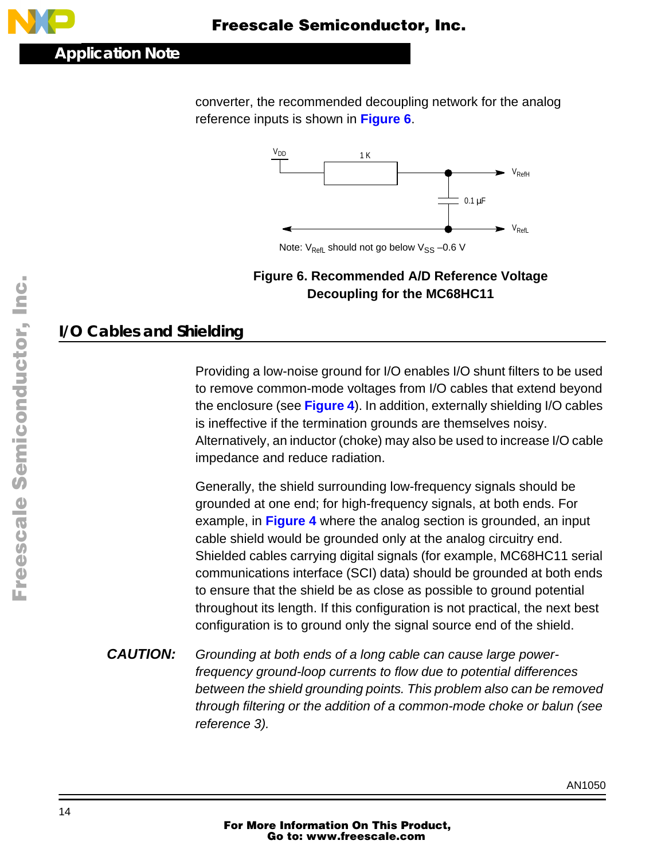converter, the recommended decoupling network for the analog reference inputs is shown in **Figure 6**.



Note:  $V_{\text{Refl}}$  should not go below  $V_{SS}$  –0.6 V

#### **Figure 6. Recommended A/D Reference Voltage Decoupling for the MC68HC11**

# **I/O Cables and Shielding**

Providing a low-noise ground for I/O enables I/O shunt filters to be used to remove common-mode voltages from I/O cables that extend beyond the enclosure (see **[Figure 4](#page-11-0)**). In addition, externally shielding I/O cables is ineffective if the termination grounds are themselves noisy. Alternatively, an inductor (choke) may also be used to increase I/O cable impedance and reduce radiation.

Generally, the shield surrounding low-frequency signals should be grounded at one end; for high-frequency signals, at both ends. For example, in **[Figure 4](#page-11-0)** where the analog section is grounded, an input cable shield would be grounded only at the analog circuitry end. Shielded cables carrying digital signals (for example, MC68HC11 serial communications interface (SCI) data) should be grounded at both ends to ensure that the shield be as close as possible to ground potential throughout its length. If this configuration is not practical, the next best configuration is to ground only the signal source end of the shield.

**CAUTION:** Grounding at both ends of a long cable can cause large powerfrequency ground-loop currents to flow due to potential differences between the shield grounding points. This problem also can be removed through filtering or the addition of a common-mode choke or balun (see reference 3).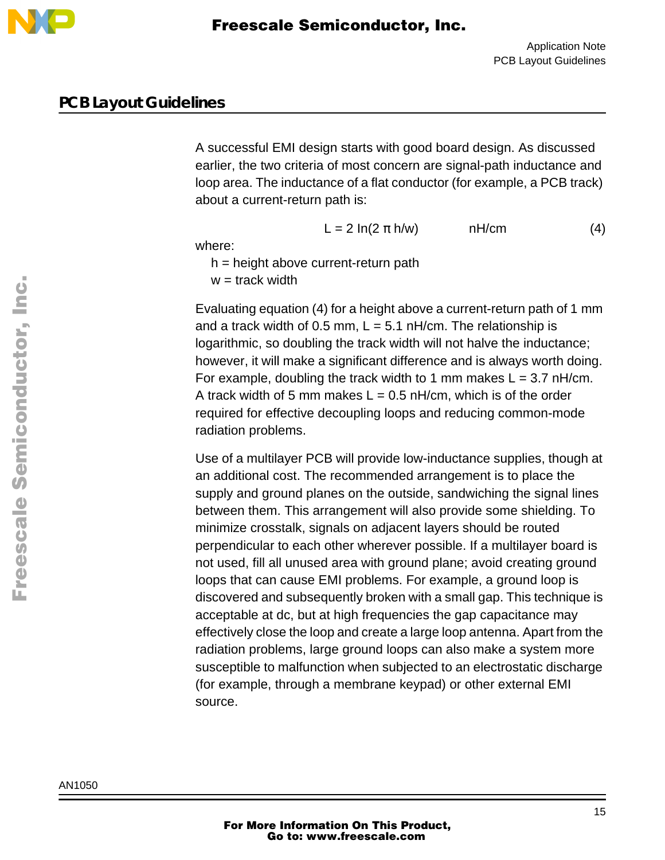

#### **PCB Layout Guidelines**

A successful EMI design starts with good board design. As discussed earlier, the two criteria of most concern are signal-path inductance and loop area. The inductance of a flat conductor (for example, a PCB track) about a current-return path is:

 $L = 2 \ln(2 \pi h/w)$  nH/cm (4)

where:

 $h =$  height above current-return path

 $w =$  track width

Evaluating equation (4) for a height above a current-return path of 1 mm and a track width of 0.5 mm,  $L = 5.1$  nH/cm. The relationship is logarithmic, so doubling the track width will not halve the inductance; however, it will make a significant difference and is always worth doing. For example, doubling the track width to 1 mm makes  $L = 3.7$  nH/cm. A track width of 5 mm makes  $L = 0.5$  nH/cm, which is of the order required for effective decoupling loops and reducing common-mode radiation problems.

Use of a multilayer PCB will provide low-inductance supplies, though at an additional cost. The recommended arrangement is to place the supply and ground planes on the outside, sandwiching the signal lines between them. This arrangement will also provide some shielding. To minimize crosstalk, signals on adjacent layers should be routed perpendicular to each other wherever possible. If a multilayer board is not used, fill all unused area with ground plane; avoid creating ground loops that can cause EMI problems. For example, a ground loop is discovered and subsequently broken with a small gap. This technique is acceptable at dc, but at high frequencies the gap capacitance may effectively close the loop and create a large loop antenna. Apart from the radiation problems, large ground loops can also make a system more susceptible to malfunction when subjected to an electrostatic discharge (for example, through a membrane keypad) or other external EMI source.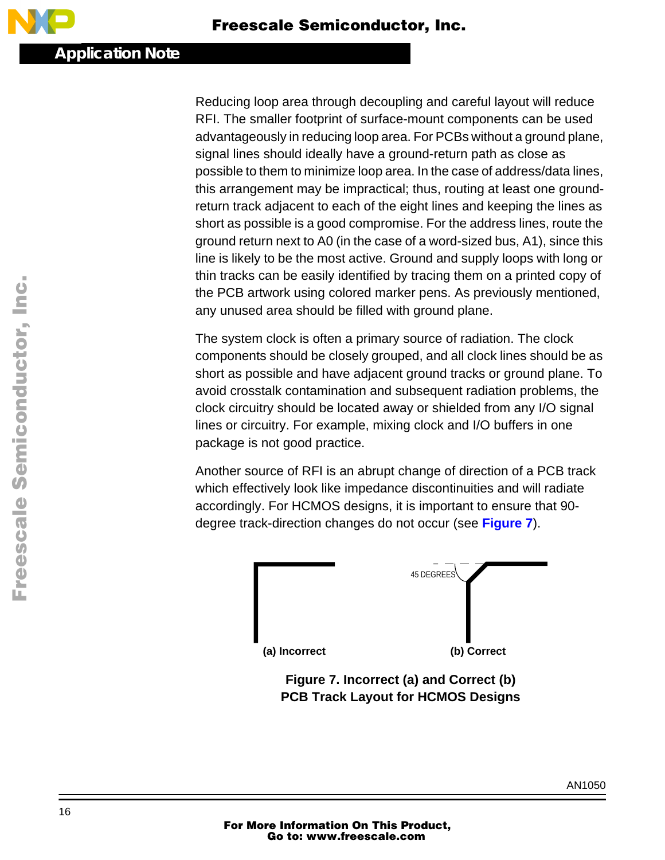Reducing loop area through decoupling and careful layout will reduce RFI. The smaller footprint of surface-mount components can be used advantageously in reducing loop area. For PCBs without a ground plane, signal lines should ideally have a ground-return path as close as possible to them to minimize loop area. In the case of address/data lines, this arrangement may be impractical; thus, routing at least one groundreturn track adjacent to each of the eight lines and keeping the lines as short as possible is a good compromise. For the address lines, route the ground return next to A0 (in the case of a word-sized bus, A1), since this line is likely to be the most active. Ground and supply loops with long or thin tracks can be easily identified by tracing them on a printed copy of the PCB artwork using colored marker pens. As previously mentioned, any unused area should be filled with ground plane.

The system clock is often a primary source of radiation. The clock components should be closely grouped, and all clock lines should be as short as possible and have adjacent ground tracks or ground plane. To avoid crosstalk contamination and subsequent radiation problems, the clock circuitry should be located away or shielded from any I/O signal lines or circuitry. For example, mixing clock and I/O buffers in one package is not good practice.

Another source of RFI is an abrupt change of direction of a PCB track which effectively look like impedance discontinuities and will radiate accordingly. For HCMOS designs, it is important to ensure that 90 degree track-direction changes do not occur (see **Figure 7**).



**Figure 7. Incorrect (a) and Correct (b) PCB Track Layout for HCMOS Designs**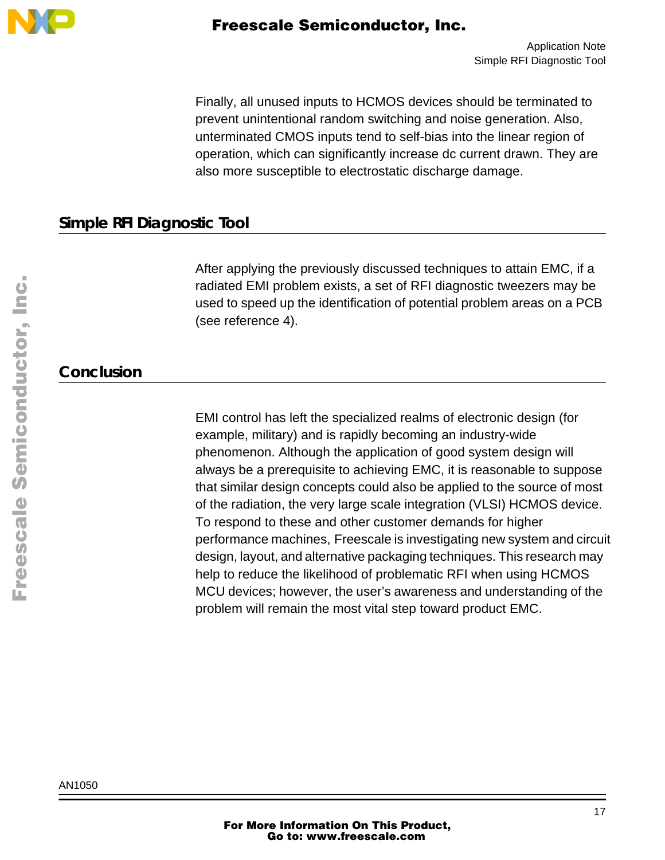

Finally, all unused inputs to HCMOS devices should be terminated to prevent unintentional random switching and noise generation. Also, unterminated CMOS inputs tend to self-bias into the linear region of operation, which can significantly increase dc current drawn. They are also more susceptible to electrostatic discharge damage.

## **Simple RFI Diagnostic Tool**

After applying the previously discussed techniques to attain EMC, if a radiated EMI problem exists, a set of RFI diagnostic tweezers may be used to speed up the identification of potential problem areas on a PCB (see reference 4).

## **Conclusion**

EMI control has left the specialized realms of electronic design (for example, military) and is rapidly becoming an industry-wide phenomenon. Although the application of good system design will always be a prerequisite to achieving EMC, it is reasonable to suppose that similar design concepts could also be applied to the source of most of the radiation, the very large scale integration (VLSI) HCMOS device. To respond to these and other customer demands for higher performance machines, Freescale is investigating new system and circuit design, layout, and alternative packaging techniques. This research may help to reduce the likelihood of problematic RFI when using HCMOS MCU devices; however, the user's awareness and understanding of the problem will remain the most vital step toward product EMC.

AN1050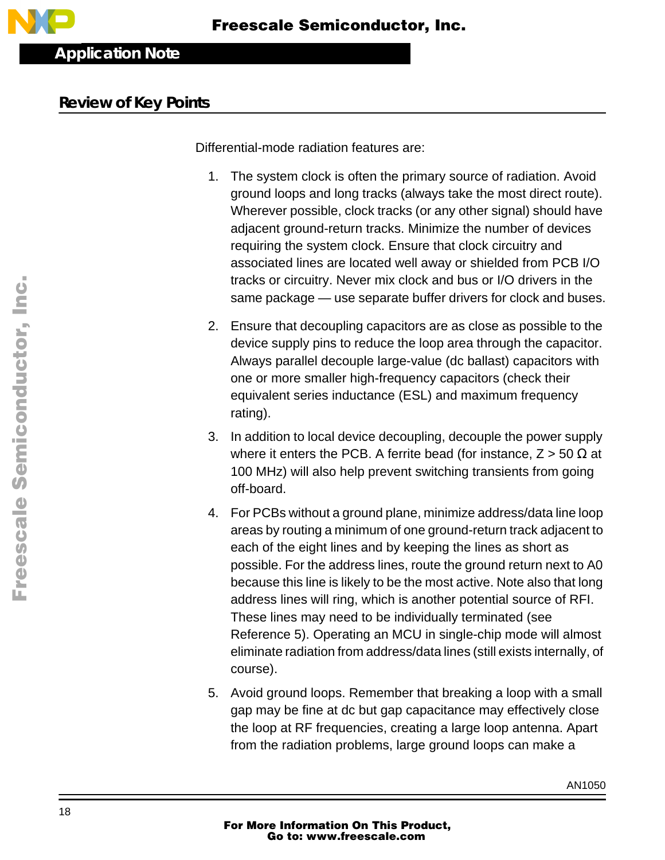

#### **Review of Key Points**

Differential-mode radiation features are:

- 1. The system clock is often the primary source of radiation. Avoid ground loops and long tracks (always take the most direct route). Wherever possible, clock tracks (or any other signal) should have adjacent ground-return tracks. Minimize the number of devices requiring the system clock. Ensure that clock circuitry and associated lines are located well away or shielded from PCB I/O tracks or circuitry. Never mix clock and bus or I/O drivers in the same package — use separate buffer drivers for clock and buses.
- 2. Ensure that decoupling capacitors are as close as possible to the device supply pins to reduce the loop area through the capacitor. Always parallel decouple large-value (dc ballast) capacitors with one or more smaller high-frequency capacitors (check their equivalent series inductance (ESL) and maximum frequency rating).
- 3. In addition to local device decoupling, decouple the power supply where it enters the PCB. A ferrite bead (for instance,  $Z > 50 \Omega$  at 100 MHz) will also help prevent switching transients from going off-board.
- 4. For PCBs without a ground plane, minimize address/data line loop areas by routing a minimum of one ground-return track adjacent to each of the eight lines and by keeping the lines as short as possible. For the address lines, route the ground return next to A0 because this line is likely to be the most active. Note also that long address lines will ring, which is another potential source of RFI. These lines may need to be individually terminated (see Reference 5). Operating an MCU in single-chip mode will almost eliminate radiation from address/data lines (still exists internally, of course).
- 5. Avoid ground loops. Remember that breaking a loop with a small gap may be fine at dc but gap capacitance may effectively close the loop at RF frequencies, creating a large loop antenna. Apart from the radiation problems, large ground loops can make a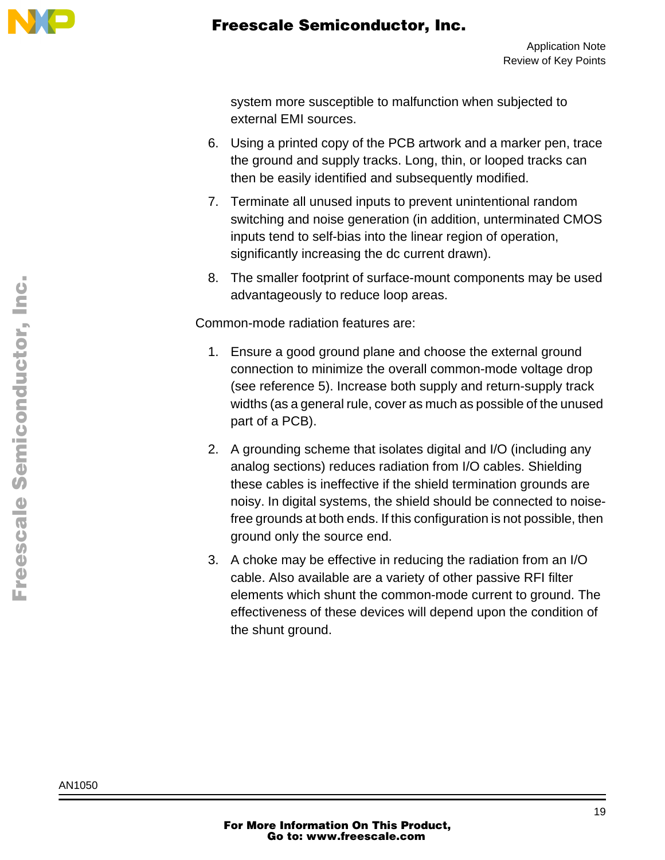

system more susceptible to malfunction when subjected to external EMI sources.

- 6. Using a printed copy of the PCB artwork and a marker pen, trace the ground and supply tracks. Long, thin, or looped tracks can then be easily identified and subsequently modified.
- 7. Terminate all unused inputs to prevent unintentional random switching and noise generation (in addition, unterminated CMOS inputs tend to self-bias into the linear region of operation, significantly increasing the dc current drawn).
- 8. The smaller footprint of surface-mount components may be used advantageously to reduce loop areas.

Common-mode radiation features are:

- 1. Ensure a good ground plane and choose the external ground connection to minimize the overall common-mode voltage drop (see reference 5). Increase both supply and return-supply track widths (as a general rule, cover as much as possible of the unused part of a PCB).
- 2. A grounding scheme that isolates digital and I/O (including any analog sections) reduces radiation from I/O cables. Shielding these cables is ineffective if the shield termination grounds are noisy. In digital systems, the shield should be connected to noisefree grounds at both ends. If this configuration is not possible, then ground only the source end.
- 3. A choke may be effective in reducing the radiation from an I/O cable. Also available are a variety of other passive RFI filter elements which shunt the common-mode current to ground. The effectiveness of these devices will depend upon the condition of the shunt ground.